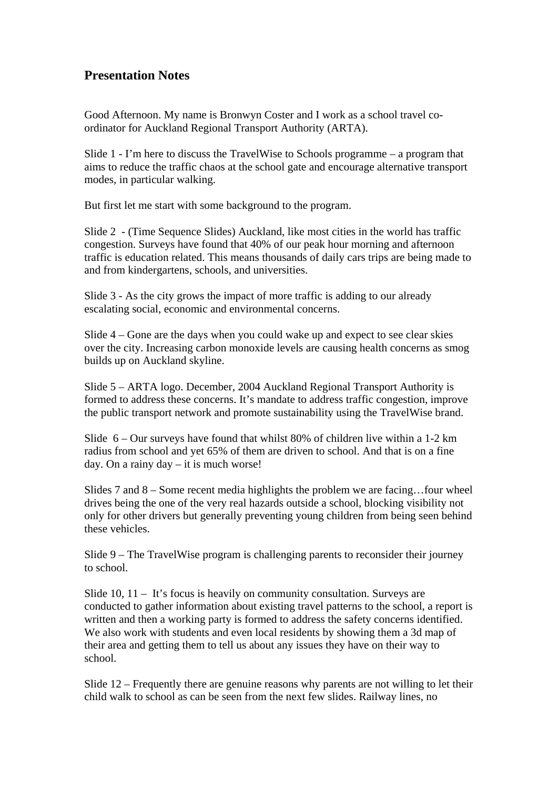## **Presentation Notes**

Good Afternoon. My name is Bronwyn Coster and I work as a school travel coordinator for Auckland Regional Transport Authority (ARTA).

Slide 1 - I'm here to discuss the TravelWise to Schools programme – a program that aims to reduce the traffic chaos at the school gate and encourage alternative transport modes, in particular walking.

But first let me start with some background to the program.

Slide 2 - (Time Sequence Slides) Auckland, like most cities in the world has traffic congestion. Surveys have found that 40% of our peak hour morning and afternoon traffic is education related. This means thousands of daily cars trips are being made to and from kindergartens, schools, and universities.

Slide 3 - As the city grows the impact of more traffic is adding to our already escalating social, economic and environmental concerns.

Slide 4 – Gone are the days when you could wake up and expect to see clear skies over the city. Increasing carbon monoxide levels are causing health concerns as smog builds up on Auckland skyline.

Slide 5 – ARTA logo. December, 2004 Auckland Regional Transport Authority is formed to address these concerns. It's mandate to address traffic congestion, improve the public transport network and promote sustainability using the TravelWise brand.

Slide 6 – Our surveys have found that whilst 80% of children live within a 1-2 km radius from school and yet 65% of them are driven to school. And that is on a fine day. On a rainy day – it is much worse!

Slides 7 and 8 – Some recent media highlights the problem we are facing…four wheel drives being the one of the very real hazards outside a school, blocking visibility not only for other drivers but generally preventing young children from being seen behind these vehicles.

Slide 9 – The TravelWise program is challenging parents to reconsider their journey to school.

Slide 10, 11 – It's focus is heavily on community consultation. Surveys are conducted to gather information about existing travel patterns to the school, a report is written and then a working party is formed to address the safety concerns identified. We also work with students and even local residents by showing them a 3d map of their area and getting them to tell us about any issues they have on their way to school.

Slide 12 – Frequently there are genuine reasons why parents are not willing to let their child walk to school as can be seen from the next few slides. Railway lines, no